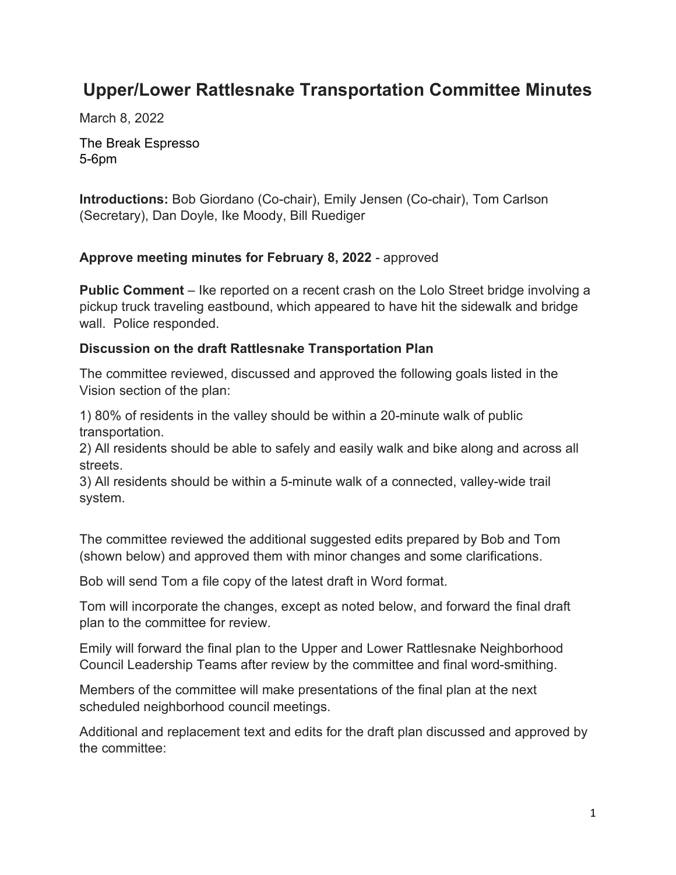# **Upper/Lower Rattlesnake Transportation Committee Minutes**

March 8, 2022

The Break Espresso 5-6pm

**Introductions:** Bob Giordano (Co-chair), Emily Jensen (Co-chair), Tom Carlson (Secretary), Dan Doyle, Ike Moody, Bill Ruediger

#### **Approve meeting minutes for February 8, 2022** - approved

**Public Comment** – Ike reported on a recent crash on the Lolo Street bridge involving a pickup truck traveling eastbound, which appeared to have hit the sidewalk and bridge wall. Police responded.

#### **Discussion on the draft Rattlesnake Transportation Plan**

The committee reviewed, discussed and approved the following goals listed in the Vision section of the plan:

1) 80% of residents in the valley should be within a 20-minute walk of public transportation.

2) All residents should be able to safely and easily walk and bike along and across all streets.

3) All residents should be within a 5-minute walk of a connected, valley-wide trail system.

The committee reviewed the additional suggested edits prepared by Bob and Tom (shown below) and approved them with minor changes and some clarifications.

Bob will send Tom a file copy of the latest draft in Word format.

Tom will incorporate the changes, except as noted below, and forward the final draft plan to the committee for review.

Emily will forward the final plan to the Upper and Lower Rattlesnake Neighborhood Council Leadership Teams after review by the committee and final word-smithing.

Members of the committee will make presentations of the final plan at the next scheduled neighborhood council meetings.

Additional and replacement text and edits for the draft plan discussed and approved by the committee: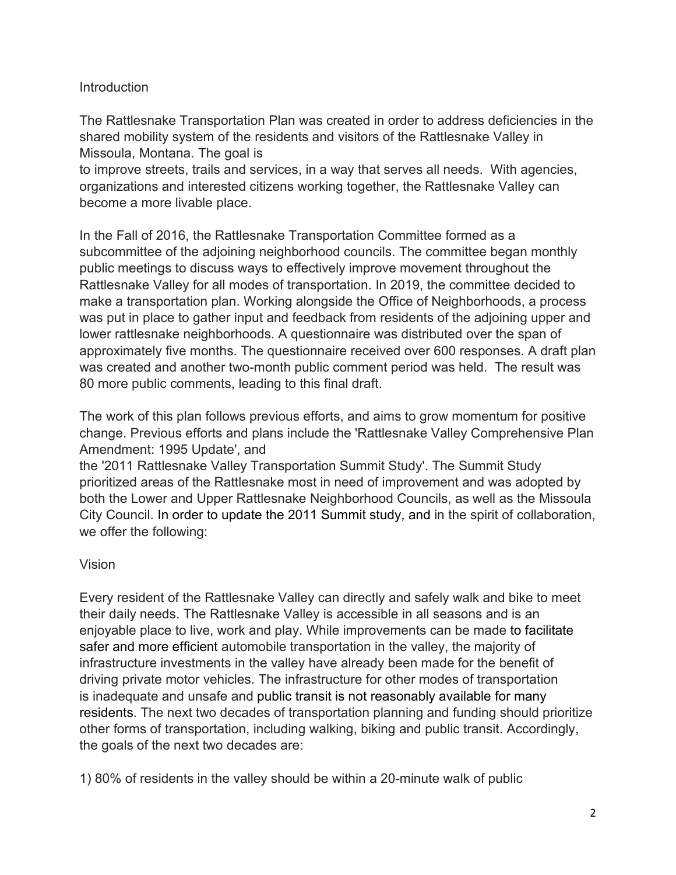## Introduction

The Rattlesnake Transportation Plan was created in order to address deficiencies in the shared mobility system of the residents and visitors of the Rattlesnake Valley in Missoula, Montana. The goal is

to improve streets, trails and services, in a way that serves all needs. With agencies, organizations and interested citizens working together, the Rattlesnake Valley can become a more livable place.

In the Fall of 2016, the Rattlesnake Transportation Committee formed as a subcommittee of the adjoining neighborhood councils. The committee began monthly public meetings to discuss ways to effectively improve movement throughout the Rattlesnake Valley for all modes of transportation. In 2019, the committee decided to make a transportation plan. Working alongside the Office of Neighborhoods, a process was put in place to gather input and feedback from residents of the adjoining upper and lower rattlesnake neighborhoods. A questionnaire was distributed over the span of approximately five months. The questionnaire received over 600 responses. A draft plan was created and another two-month public comment period was held. The result was 80 more public comments, leading to this final draft.

The work of this plan follows previous efforts, and aims to grow momentum for positive change. Previous efforts and plans include the 'Rattlesnake Valley Comprehensive Plan Amendment: 1995 Update', and

the '2011 Rattlesnake Valley Transportation Summit Study'. The Summit Study prioritized areas of the Rattlesnake most in need of improvement and was adopted by both the Lower and Upper Rattlesnake Neighborhood Councils, as well as the Missoula City Council. In order to update the 2011 Summit study, and in the spirit of collaboration, we offer the following:

## Vision

Every resident of the Rattlesnake Valley can directly and safely walk and bike to meet their daily needs. The Rattlesnake Valley is accessible in all seasons and is an enjoyable place to live, work and play. While improvements can be made to facilitate safer and more efficient automobile transportation in the valley, the majority of infrastructure investments in the valley have already been made for the benefit of driving private motor vehicles. The infrastructure for other modes of transportation is inadequate and unsafe and public transit is not reasonably available for many residents. The next two decades of transportation planning and funding should prioritize other forms of transportation, including walking, biking and public transit. Accordingly, the goals of the next two decades are:

1) 80% of residents in the valley should be within a 20-minute walk of public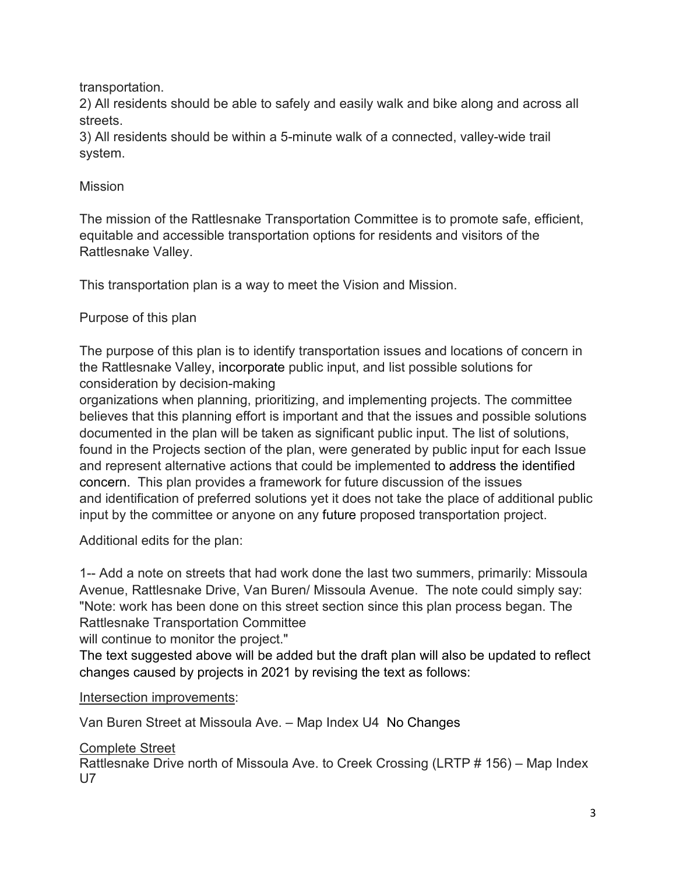transportation.

2) All residents should be able to safely and easily walk and bike along and across all streets.

3) All residents should be within a 5-minute walk of a connected, valley-wide trail system.

## **Mission**

The mission of the Rattlesnake Transportation Committee is to promote safe, efficient, equitable and accessible transportation options for residents and visitors of the Rattlesnake Valley.

This transportation plan is a way to meet the Vision and Mission.

# Purpose of this plan

The purpose of this plan is to identify transportation issues and locations of concern in the Rattlesnake Valley, incorporate public input, and list possible solutions for consideration by decision-making

organizations when planning, prioritizing, and implementing projects. The committee believes that this planning effort is important and that the issues and possible solutions documented in the plan will be taken as significant public input. The list of solutions, found in the Projects section of the plan, were generated by public input for each Issue and represent alternative actions that could be implemented to address the identified concern. This plan provides a framework for future discussion of the issues and identification of preferred solutions yet it does not take the place of additional public input by the committee or anyone on any future proposed transportation project.

Additional edits for the plan:

1-- Add a note on streets that had work done the last two summers, primarily: Missoula Avenue, Rattlesnake Drive, Van Buren/ Missoula Avenue. The note could simply say: "Note: work has been done on this street section since this plan process began. The Rattlesnake Transportation Committee

will continue to monitor the project."

The text suggested above will be added but the draft plan will also be updated to reflect changes caused by projects in 2021 by revising the text as follows:

## Intersection improvements:

Van Buren Street at Missoula Ave. – Map Index U4 No Changes

# Complete Street

Rattlesnake Drive north of Missoula Ave. to Creek Crossing (LRTP # 156) – Map Index U7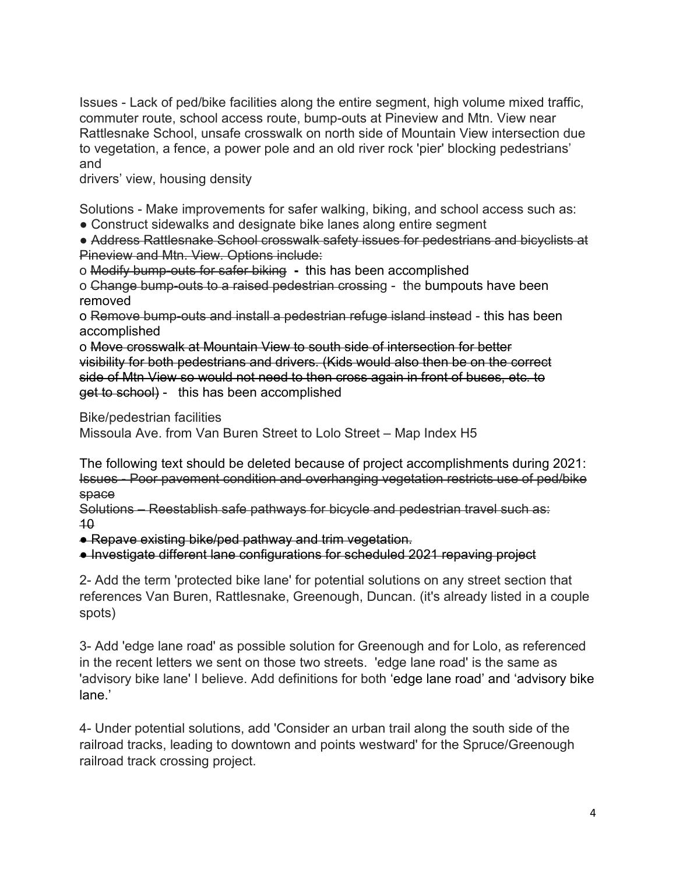Issues - Lack of ped/bike facilities along the entire segment, high volume mixed traffic, commuter route, school access route, bump-outs at Pineview and Mtn. View near Rattlesnake School, unsafe crosswalk on north side of Mountain View intersection due to vegetation, a fence, a power pole and an old river rock 'pier' blocking pedestrians' and

drivers' view, housing density

Solutions - Make improvements for safer walking, biking, and school access such as:

• Construct sidewalks and designate bike lanes along entire segment

● Address Rattlesnake School crosswalk safety issues for pedestrians and bicyclists at Pineview and Mtn. View. Options include:

o Modify bump-outs for safer biking **-** this has been accomplished

o Change bump-outs to a raised pedestrian crossing - the bumpouts have been removed

o Remove bump-outs and install a pedestrian refuge island instead - this has been accomplished

o Move crosswalk at Mountain View to south side of intersection for better visibility for both pedestrians and drivers. (Kids would also then be on the correct side of Mtn View so would not need to then cross again in front of buses, etc. to get to school) - this has been accomplished

Bike/pedestrian facilities

Missoula Ave. from Van Buren Street to Lolo Street – Map Index H5

The following text should be deleted because of project accomplishments during 2021: Issues - Poor pavement condition and overhanging vegetation restricts use of ped/bike space

Solutions – Reestablish safe pathways for bicycle and pedestrian travel such as: 10

● Repave existing bike/ped pathway and trim vegetation.

● Investigate different lane configurations for scheduled 2021 repaving project

2- Add the term 'protected bike lane' for potential solutions on any street section that references Van Buren, Rattlesnake, Greenough, Duncan. (it's already listed in a couple spots)

3- Add 'edge lane road' as possible solution for Greenough and for Lolo, as referenced in the recent letters we sent on those two streets. 'edge lane road' is the same as 'advisory bike lane' I believe. Add definitions for both 'edge lane road' and 'advisory bike lane.'

4- Under potential solutions, add 'Consider an urban trail along the south side of the railroad tracks, leading to downtown and points westward' for the Spruce/Greenough railroad track crossing project.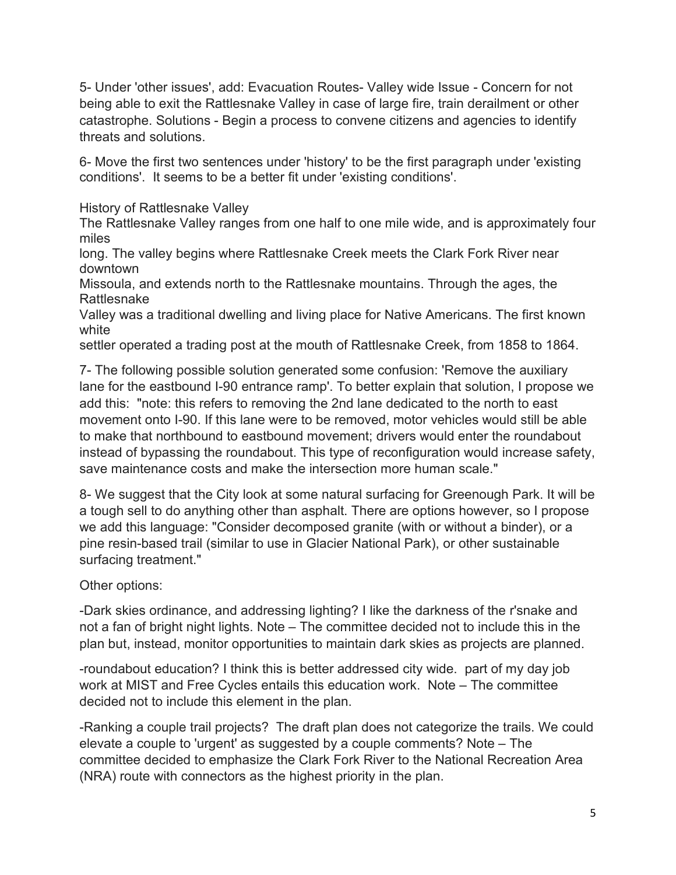5- Under 'other issues', add: Evacuation Routes- Valley wide Issue - Concern for not being able to exit the Rattlesnake Valley in case of large fire, train derailment or other catastrophe. Solutions - Begin a process to convene citizens and agencies to identify threats and solutions.

6- Move the first two sentences under 'history' to be the first paragraph under 'existing conditions'. It seems to be a better fit under 'existing conditions'.

History of Rattlesnake Valley

The Rattlesnake Valley ranges from one half to one mile wide, and is approximately four miles

long. The valley begins where Rattlesnake Creek meets the Clark Fork River near downtown

Missoula, and extends north to the Rattlesnake mountains. Through the ages, the Rattlesnake

Valley was a traditional dwelling and living place for Native Americans. The first known white

settler operated a trading post at the mouth of Rattlesnake Creek, from 1858 to 1864.

7- The following possible solution generated some confusion: 'Remove the auxiliary lane for the eastbound I-90 entrance ramp'. To better explain that solution, I propose we add this: "note: this refers to removing the 2nd lane dedicated to the north to east movement onto I-90. If this lane were to be removed, motor vehicles would still be able to make that northbound to eastbound movement; drivers would enter the roundabout instead of bypassing the roundabout. This type of reconfiguration would increase safety, save maintenance costs and make the intersection more human scale."

8- We suggest that the City look at some natural surfacing for Greenough Park. It will be a tough sell to do anything other than asphalt. There are options however, so I propose we add this language: "Consider decomposed granite (with or without a binder), or a pine resin-based trail (similar to use in Glacier National Park), or other sustainable surfacing treatment."

Other options:

-Dark skies ordinance, and addressing lighting? I like the darkness of the r'snake and not a fan of bright night lights. Note – The committee decided not to include this in the plan but, instead, monitor opportunities to maintain dark skies as projects are planned.

-roundabout education? I think this is better addressed city wide. part of my day job work at MIST and Free Cycles entails this education work. Note – The committee decided not to include this element in the plan.

-Ranking a couple trail projects? The draft plan does not categorize the trails. We could elevate a couple to 'urgent' as suggested by a couple comments? Note – The committee decided to emphasize the Clark Fork River to the National Recreation Area (NRA) route with connectors as the highest priority in the plan.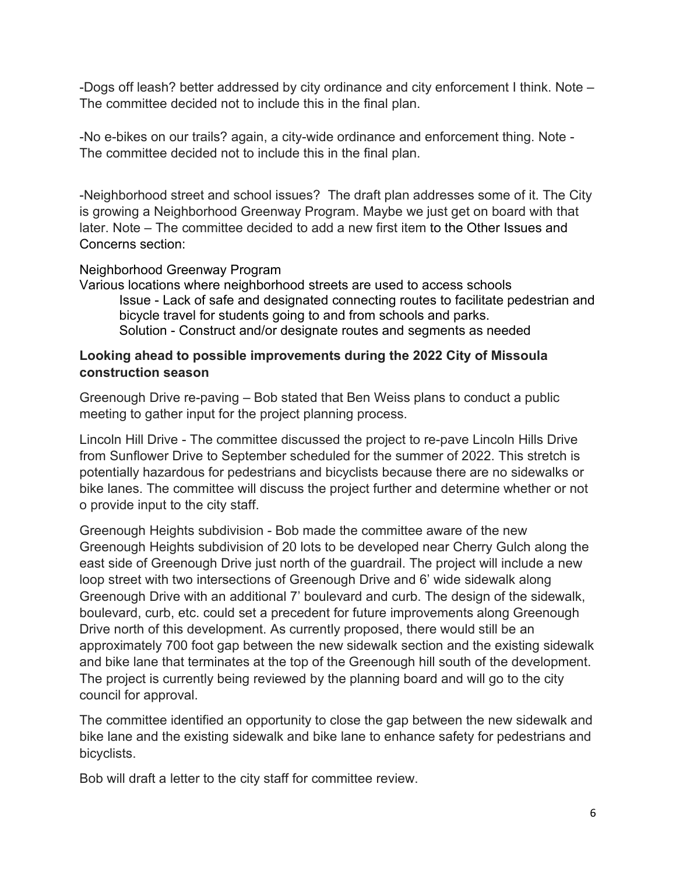-Dogs off leash? better addressed by city ordinance and city enforcement I think. Note – The committee decided not to include this in the final plan.

-No e-bikes on our trails? again, a city-wide ordinance and enforcement thing. Note - The committee decided not to include this in the final plan.

-Neighborhood street and school issues? The draft plan addresses some of it. The City is growing a Neighborhood Greenway Program. Maybe we just get on board with that later. Note – The committee decided to add a new first item to the Other Issues and Concerns section:

#### Neighborhood Greenway Program

Various locations where neighborhood streets are used to access schools Issue - Lack of safe and designated connecting routes to facilitate pedestrian and bicycle travel for students going to and from schools and parks. Solution - Construct and/or designate routes and segments as needed

#### **Looking ahead to possible improvements during the 2022 City of Missoula construction season**

Greenough Drive re-paving – Bob stated that Ben Weiss plans to conduct a public meeting to gather input for the project planning process.

Lincoln Hill Drive - The committee discussed the project to re-pave Lincoln Hills Drive from Sunflower Drive to September scheduled for the summer of 2022. This stretch is potentially hazardous for pedestrians and bicyclists because there are no sidewalks or bike lanes. The committee will discuss the project further and determine whether or not o provide input to the city staff.

Greenough Heights subdivision - Bob made the committee aware of the new Greenough Heights subdivision of 20 lots to be developed near Cherry Gulch along the east side of Greenough Drive just north of the guardrail. The project will include a new loop street with two intersections of Greenough Drive and 6' wide sidewalk along Greenough Drive with an additional 7' boulevard and curb. The design of the sidewalk, boulevard, curb, etc. could set a precedent for future improvements along Greenough Drive north of this development. As currently proposed, there would still be an approximately 700 foot gap between the new sidewalk section and the existing sidewalk and bike lane that terminates at the top of the Greenough hill south of the development. The project is currently being reviewed by the planning board and will go to the city council for approval.

The committee identified an opportunity to close the gap between the new sidewalk and bike lane and the existing sidewalk and bike lane to enhance safety for pedestrians and bicyclists.

Bob will draft a letter to the city staff for committee review.